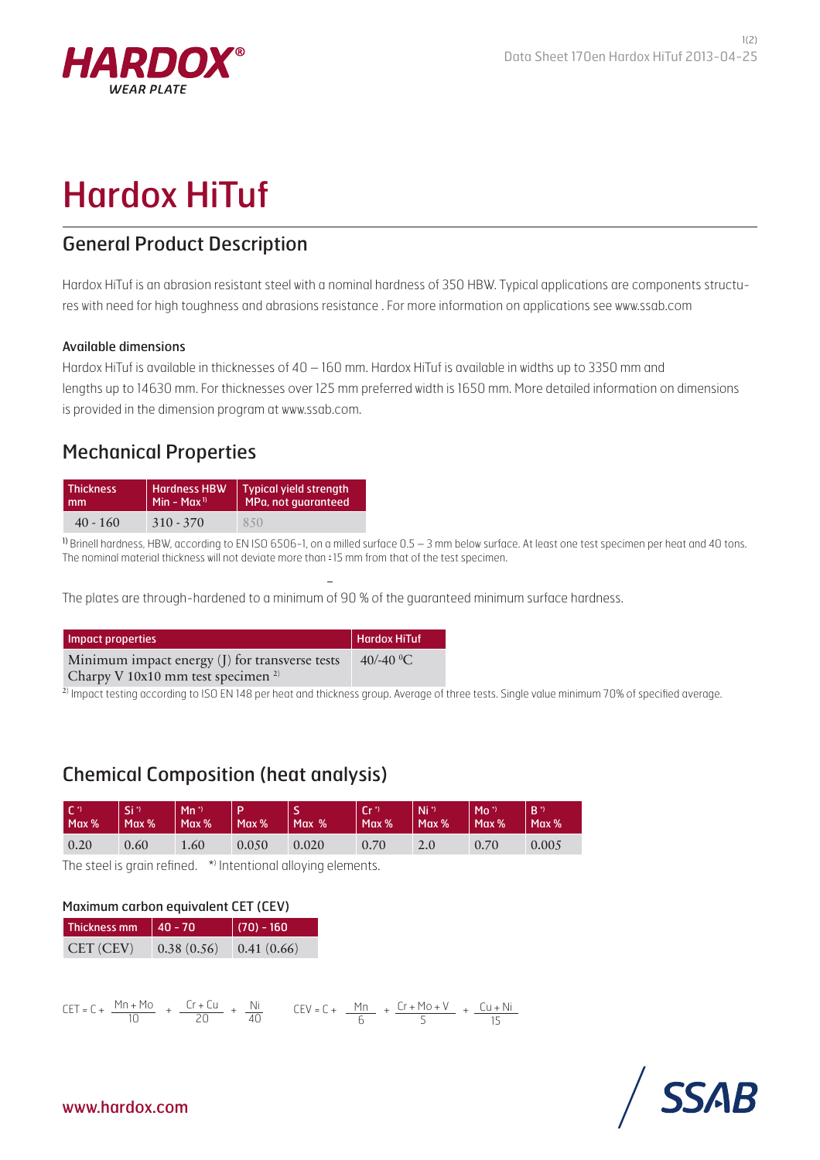

# Hardox HiTuf

## General Product Description

Hardox HiTuf is an abrasion resistant steel with a nominal hardness of 350 HBW. Typical applications are components structures with need for high toughness and abrasions resistance . For more information on applications see www.ssab.com

#### Available dimensions

Hardox HiTuf is available in thicknesses of 40 – 160 mm. Hardox HiTuf is available in widths up to 3350 mm and lengths up to 14630 mm. For thicknesses over 125 mm preferred width is 1650 mm. More detailed information on dimensions is provided in the dimension program at www.ssab.com.

### Mechanical Properties

| <b>Thickness</b> | <b>Hardness HBW</b>     | <b>Typical yield strength</b> |  |  |
|------------------|-------------------------|-------------------------------|--|--|
| mm               | Min - Max <sup>1)</sup> | MPa, not guaranteed           |  |  |
| $40 - 160$       | $310 - 370$             | 850                           |  |  |

1) Brinell hardness, HBW, according to EN ISO 6506-1, on a milled surface 0.5 - 3 mm below surface. At least one test specimen per heat and 40 tons. The nominal material thickness will not deviate more than  $\pm 15$  mm from that of the test specimen.

The plates are through-hardened to a minimum of 90 % of the guaranteed minimum surface hardness.

| Impact properties                              | Hardox HiTuf          |
|------------------------------------------------|-----------------------|
| Minimum impact energy (J) for transverse tests | 40/-40 <sup>o</sup> C |
| Charpy V 10x10 mm test specimen $2$            |                       |

<sup>2)</sup> Impact testing according to ISO EN 148 per heat and thickness group. Average of three tests. Single value minimum 70% of specified average.

# Chemical Composition (heat analysis)

| $\sqrt{C}$<br>Max % | 'Si"<br>Max % | $Mn^*$<br>Max % | Max%  | Max % | $\Gamma$ r <sup>*</sup> )<br>Max % | $Ni*$<br>$\mathsf{Max}\%$ | $Mo^*$<br>Max % | $B^{\gamma}$<br>Max % |
|---------------------|---------------|-----------------|-------|-------|------------------------------------|---------------------------|-----------------|-----------------------|
| 0.20                | 0.60          | 1.60            | 0.050 | 0.020 | 0.70                               | 2.0                       | 0.70            | 0.005                 |

The steel is grain refined. \* Intentional alloying elements.

#### Maximum carbon equivalent CET (CEV)

| Thickness mm | $ 40 - 70$ | $\ $ (70) - 160 $\ $ |  |  |
|--------------|------------|----------------------|--|--|
| CET (CEV)    | 0.38(0.56) | 0.41(0.66)           |  |  |

$$
CET = C + \frac{Mn + Mo}{10} + \frac{Cr + Cu}{20} + \frac{Ni}{40} \qquad CEV = C + \frac{Mn}{6} + \frac{Cr + Mo + V}{5} + \frac{Cu + Ni}{15}
$$